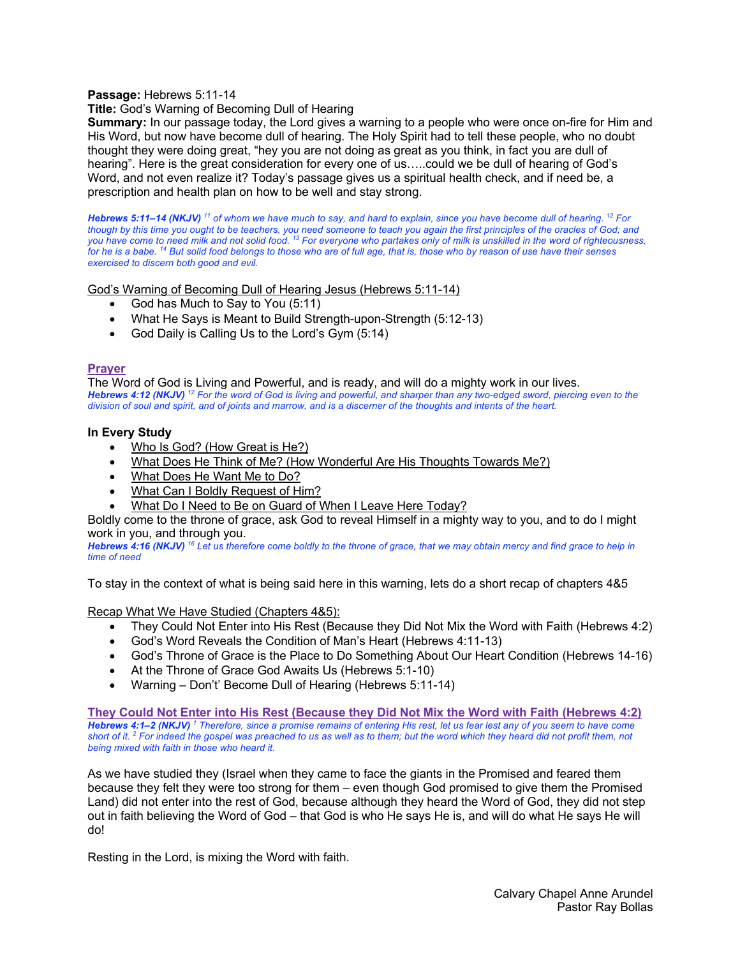# **Passage:** Hebrews 5:11-14

# **Title:** God's Warning of Becoming Dull of Hearing

**Summary:** In our passage today, the Lord gives a warning to a people who were once on-fire for Him and His Word, but now have become dull of hearing. The Holy Spirit had to tell these people, who no doubt thought they were doing great, "hey you are not doing as great as you think, in fact you are dull of hearing". Here is the great consideration for every one of us…..could we be dull of hearing of God's Word, and not even realize it? Today's passage gives us a spiritual health check, and if need be, a prescription and health plan on how to be well and stay strong.

*Hebrews 5:11–14 (NKJV) <sup>11</sup> of whom we have much to say, and hard to explain, since you have become dull of hearing. 12 For though by this time you ought to be teachers, you need someone to teach you again the first principles of the oracles of God; and you have come to need milk and not solid food. 13 For everyone who partakes only of milk is unskilled in the word of righteousness, for he is a babe. 14 But solid food belongs to those who are of full age, that is, those who by reason of use have their senses exercised to discern both good and evil.* 

God's Warning of Becoming Dull of Hearing Jesus (Hebrews 5:11-14)

- God has Much to Say to You (5:11)
- What He Says is Meant to Build Strength-upon-Strength (5:12-13)
- God Daily is Calling Us to the Lord's Gym (5:14)

# **Prayer**

The Word of God is Living and Powerful, and is ready, and will do a mighty work in our lives. *Hebrews 4:12 (NKJV) <sup>12</sup> For the word of God is living and powerful, and sharper than any two-edged sword, piercing even to the division of soul and spirit, and of joints and marrow, and is a discerner of the thoughts and intents of the heart.* 

### **In Every Study**

- Who Is God? (How Great is He?)
- What Does He Think of Me? (How Wonderful Are His Thoughts Towards Me?)
- What Does He Want Me to Do?
- What Can I Boldly Request of Him?
- What Do I Need to Be on Guard of When I Leave Here Today?

Boldly come to the throne of grace, ask God to reveal Himself in a mighty way to you, and to do I might work in you, and through you.

*Hebrews 4:16 (NKJV) <sup>16</sup> Let us therefore come boldly to the throne of grace, that we may obtain mercy and find grace to help in time of need*

To stay in the context of what is being said here in this warning, lets do a short recap of chapters 4&5

Recap What We Have Studied (Chapters 4&5):

- They Could Not Enter into His Rest (Because they Did Not Mix the Word with Faith (Hebrews 4:2)
- God's Word Reveals the Condition of Man's Heart (Hebrews 4:11-13)
- God's Throne of Grace is the Place to Do Something About Our Heart Condition (Hebrews 14-16)
- At the Throne of Grace God Awaits Us (Hebrews 5:1-10)
- Warning Don't' Become Dull of Hearing (Hebrews 5:11-14)

**They Could Not Enter into His Rest (Because they Did Not Mix the Word with Faith (Hebrews 4:2)** *Hebrews 4:1–2 (NKJV) <sup>1</sup> Therefore, since a promise remains of entering His rest, let us fear lest any of you seem to have come short of it. 2 For indeed the gospel was preached to us as well as to them; but the word which they heard did not profit them, not being mixed with faith in those who heard it.* 

As we have studied they (Israel when they came to face the giants in the Promised and feared them because they felt they were too strong for them – even though God promised to give them the Promised Land) did not enter into the rest of God, because although they heard the Word of God, they did not step out in faith believing the Word of God – that God is who He says He is, and will do what He says He will do!

Resting in the Lord, is mixing the Word with faith.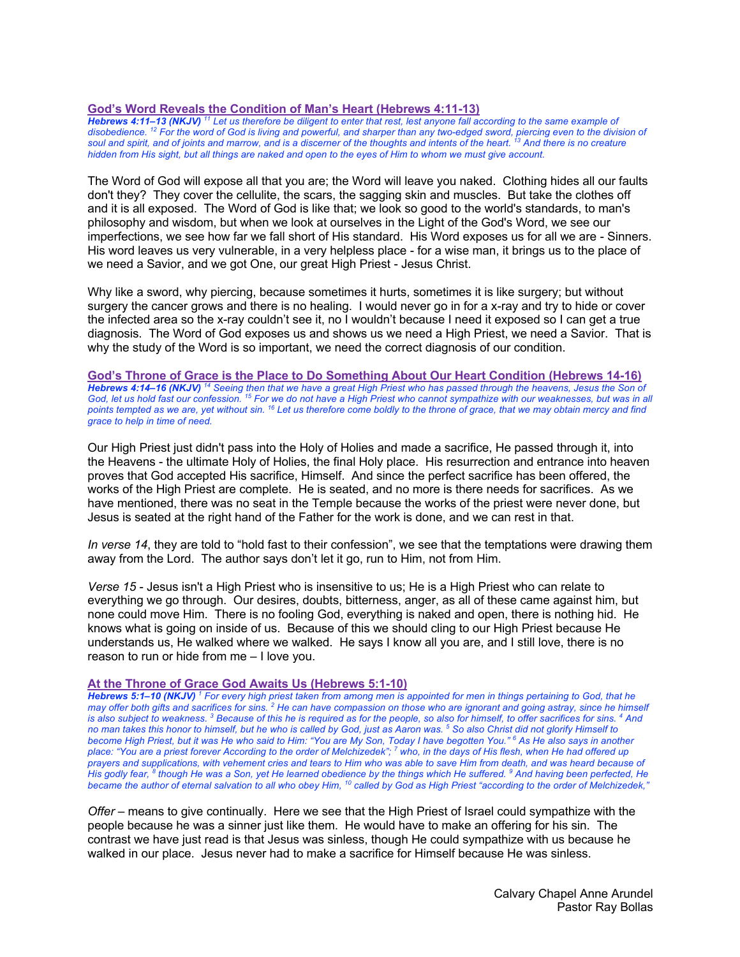# **God's Word Reveals the Condition of Man's Heart (Hebrews 4:11-13)**

*Hebrews 4:11–13 (NKJV) <sup>11</sup> Let us therefore be diligent to enter that rest, lest anyone fall according to the same example of disobedience. 12 For the word of God is living and powerful, and sharper than any two-edged sword, piercing even to the division of soul and spirit, and of joints and marrow, and is a discerner of the thoughts and intents of the heart. 13 And there is no creature hidden from His sight, but all things are naked and open to the eyes of Him to whom we must give account.* 

The Word of God will expose all that you are; the Word will leave you naked. Clothing hides all our faults don't they? They cover the cellulite, the scars, the sagging skin and muscles. But take the clothes off and it is all exposed. The Word of God is like that; we look so good to the world's standards, to man's philosophy and wisdom, but when we look at ourselves in the Light of the God's Word, we see our imperfections, we see how far we fall short of His standard. His Word exposes us for all we are - Sinners. His word leaves us very vulnerable, in a very helpless place - for a wise man, it brings us to the place of we need a Savior, and we got One, our great High Priest - Jesus Christ.

Why like a sword, why piercing, because sometimes it hurts, sometimes it is like surgery; but without surgery the cancer grows and there is no healing. I would never go in for a x-ray and try to hide or cover the infected area so the x-ray couldn't see it, no I wouldn't because I need it exposed so I can get a true diagnosis. The Word of God exposes us and shows us we need a High Priest, we need a Savior. That is why the study of the Word is so important, we need the correct diagnosis of our condition.

**God's Throne of Grace is the Place to Do Something About Our Heart Condition (Hebrews 14-16)** *Hebrews 4:14–16 (NKJV) <sup>14</sup> Seeing then that we have a great High Priest who has passed through the heavens, Jesus the Son of God, let us hold fast our confession. 15 For we do not have a High Priest who cannot sympathize with our weaknesses, but was in all points tempted as we are, yet without sin. 16 Let us therefore come boldly to the throne of grace, that we may obtain mercy and find grace to help in time of need.* 

Our High Priest just didn't pass into the Holy of Holies and made a sacrifice, He passed through it, into the Heavens - the ultimate Holy of Holies, the final Holy place. His resurrection and entrance into heaven proves that God accepted His sacrifice, Himself. And since the perfect sacrifice has been offered, the works of the High Priest are complete. He is seated, and no more is there needs for sacrifices. As we have mentioned, there was no seat in the Temple because the works of the priest were never done, but Jesus is seated at the right hand of the Father for the work is done, and we can rest in that.

*In verse 14*, they are told to "hold fast to their confession", we see that the temptations were drawing them away from the Lord. The author says don't let it go, run to Him, not from Him.

*Verse 15* - Jesus isn't a High Priest who is insensitive to us; He is a High Priest who can relate to everything we go through. Our desires, doubts, bitterness, anger, as all of these came against him, but none could move Him. There is no fooling God, everything is naked and open, there is nothing hid. He knows what is going on inside of us. Because of this we should cling to our High Priest because He understands us, He walked where we walked. He says I know all you are, and I still love, there is no reason to run or hide from me – I love you.

### **At the Throne of Grace God Awaits Us (Hebrews 5:1-10)**

*Hebrews 5:1–10 (NKJV) <sup>1</sup> For every high priest taken from among men is appointed for men in things pertaining to God, that he may offer both gifts and sacrifices for sins. 2 He can have compassion on those who are ignorant and going astray, since he himself is also subject to weakness. 3 Because of this he is required as for the people, so also for himself, to offer sacrifices for sins. 4 And no man takes this honor to himself, but he who is called by God, just as Aaron was. 5 So also Christ did not glorify Himself to become High Priest, but it was He who said to Him: "You are My Son, Today I have begotten You." 6 As He also says in another place: "You are a priest forever According to the order of Melchizedek"; 7 who, in the days of His flesh, when He had offered up prayers and supplications, with vehement cries and tears to Him who was able to save Him from death, and was heard because of His godly fear, 8 though He was a Son, yet He learned obedience by the things which He suffered. 9 And having been perfected, He became the author of eternal salvation to all who obey Him, 10 called by God as High Priest "according to the order of Melchizedek,"* 

*Offer* – means to give continually. Here we see that the High Priest of Israel could sympathize with the people because he was a sinner just like them. He would have to make an offering for his sin. The contrast we have just read is that Jesus was sinless, though He could sympathize with us because he walked in our place. Jesus never had to make a sacrifice for Himself because He was sinless.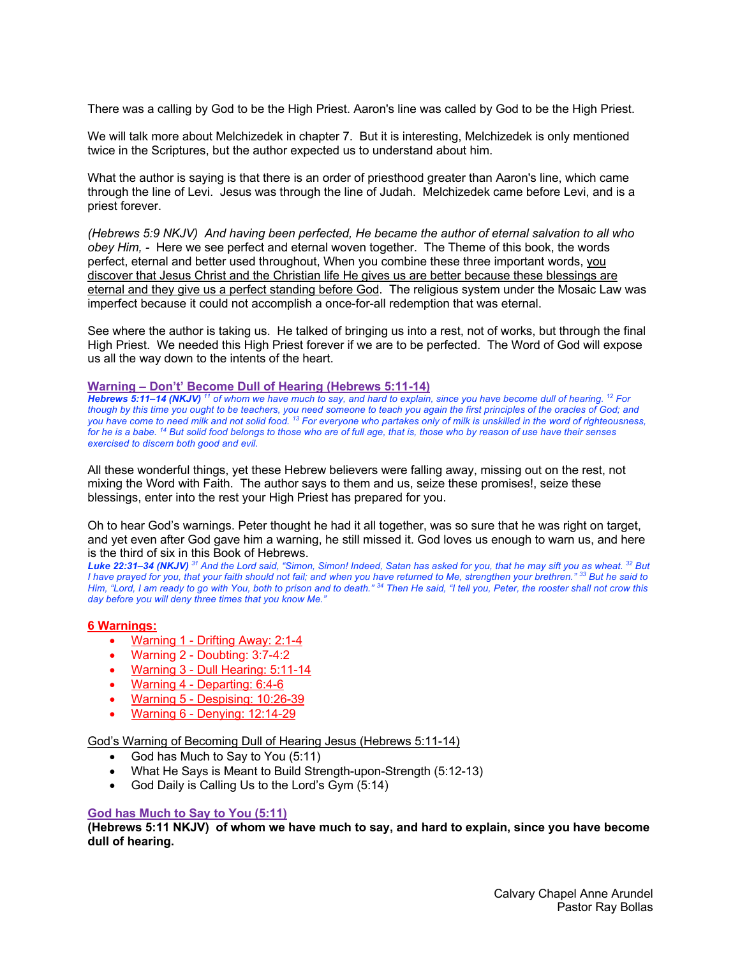There was a calling by God to be the High Priest. Aaron's line was called by God to be the High Priest.

We will talk more about Melchizedek in chapter 7. But it is interesting, Melchizedek is only mentioned twice in the Scriptures, but the author expected us to understand about him.

What the author is saying is that there is an order of priesthood greater than Aaron's line, which came through the line of Levi. Jesus was through the line of Judah. Melchizedek came before Levi, and is a priest forever.

*(Hebrews 5:9 NKJV) And having been perfected, He became the author of eternal salvation to all who obey Him, -* Here we see perfect and eternal woven together. The Theme of this book, the words perfect, eternal and better used throughout, When you combine these three important words, you discover that Jesus Christ and the Christian life He gives us are better because these blessings are eternal and they give us a perfect standing before God. The religious system under the Mosaic Law was imperfect because it could not accomplish a once-for-all redemption that was eternal.

See where the author is taking us. He talked of bringing us into a rest, not of works, but through the final High Priest. We needed this High Priest forever if we are to be perfected. The Word of God will expose us all the way down to the intents of the heart.

#### **Warning – Don't' Become Dull of Hearing (Hebrews 5:11-14)**

*Hebrews 5:11–14 (NKJV) <sup>11</sup> of whom we have much to say, and hard to explain, since you have become dull of hearing. 12 For though by this time you ought to be teachers, you need someone to teach you again the first principles of the oracles of God; and you have come to need milk and not solid food. 13 For everyone who partakes only of milk is unskilled in the word of righteousness, for he is a babe. 14 But solid food belongs to those who are of full age, that is, those who by reason of use have their senses exercised to discern both good and evil.* 

All these wonderful things, yet these Hebrew believers were falling away, missing out on the rest, not mixing the Word with Faith. The author says to them and us, seize these promises!, seize these blessings, enter into the rest your High Priest has prepared for you.

Oh to hear God's warnings. Peter thought he had it all together, was so sure that he was right on target, and yet even after God gave him a warning, he still missed it. God loves us enough to warn us, and here is the third of six in this Book of Hebrews.

*Luke 22:31–34 (NKJV) <sup>31</sup> And the Lord said, "Simon, Simon! Indeed, Satan has asked for you, that he may sift you as wheat. 32 But I have prayed for you, that your faith should not fail; and when you have returned to Me, strengthen your brethren." 33 But he said to Him, "Lord, I am ready to go with You, both to prison and to death." 34 Then He said, "I tell you, Peter, the rooster shall not crow this day before you will deny three times that you know Me."* 

### **6 Warnings:**

- Warning 1 Drifting Away: 2:1-4
- Warning 2 Doubting: 3:7-4:2
- Warning 3 Dull Hearing: 5:11-14
- Warning 4 Departing: 6:4-6
- Warning 5 Despising: 10:26-39
- Warning 6 Denying: 12:14-29

God's Warning of Becoming Dull of Hearing Jesus (Hebrews 5:11-14)

- God has Much to Say to You (5:11)
- What He Says is Meant to Build Strength-upon-Strength (5:12-13)
- God Daily is Calling Us to the Lord's Gym (5:14)

### **God has Much to Say to You (5:11)**

**(Hebrews 5:11 NKJV) of whom we have much to say, and hard to explain, since you have become dull of hearing.**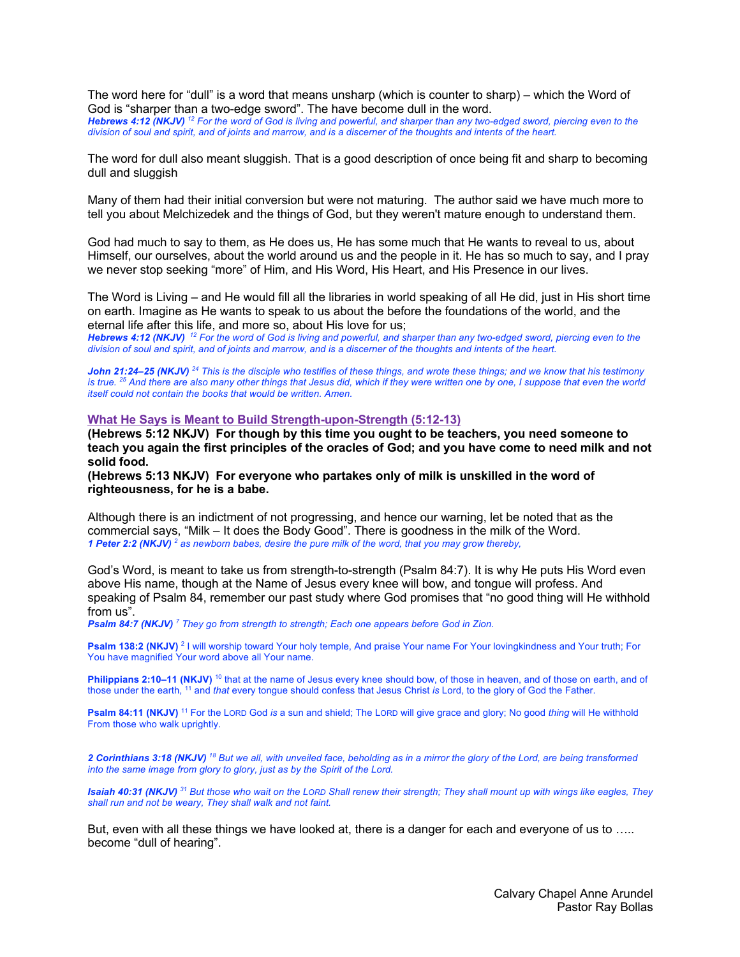The word here for "dull" is a word that means unsharp (which is counter to sharp) – which the Word of God is "sharper than a two-edge sword". The have become dull in the word.

*Hebrews 4:12 (NKJV) <sup>12</sup> For the word of God is living and powerful, and sharper than any two-edged sword, piercing even to the division of soul and spirit, and of joints and marrow, and is a discerner of the thoughts and intents of the heart.* 

The word for dull also meant sluggish. That is a good description of once being fit and sharp to becoming dull and sluggish

Many of them had their initial conversion but were not maturing. The author said we have much more to tell you about Melchizedek and the things of God, but they weren't mature enough to understand them.

God had much to say to them, as He does us, He has some much that He wants to reveal to us, about Himself, our ourselves, about the world around us and the people in it. He has so much to say, and I pray we never stop seeking "more" of Him, and His Word, His Heart, and His Presence in our lives.

The Word is Living – and He would fill all the libraries in world speaking of all He did, just in His short time on earth. Imagine as He wants to speak to us about the before the foundations of the world, and the eternal life after this life, and more so, about His love for us;

*Hebrews 4:12 (NKJV) <sup>12</sup> For the word of God is living and powerful, and sharper than any two-edged sword, piercing even to the division of soul and spirit, and of joints and marrow, and is a discerner of the thoughts and intents of the heart.* 

*John 21:24–25 (NKJV) <sup>24</sup> This is the disciple who testifies of these things, and wrote these things; and we know that his testimony is true. 25 And there are also many other things that Jesus did, which if they were written one by one, I suppose that even the world itself could not contain the books that would be written. Amen.* 

#### **What He Says is Meant to Build Strength-upon-Strength (5:12-13)**

**(Hebrews 5:12 NKJV) For though by this time you ought to be teachers, you need someone to teach you again the first principles of the oracles of God; and you have come to need milk and not solid food.**

**(Hebrews 5:13 NKJV) For everyone who partakes only of milk is unskilled in the word of righteousness, for he is a babe.**

Although there is an indictment of not progressing, and hence our warning, let be noted that as the commercial says, "Milk – It does the Body Good". There is goodness in the milk of the Word. *1 Peter 2:2 (NKJV) <sup>2</sup> as newborn babes, desire the pure milk of the word, that you may grow thereby,* 

God's Word, is meant to take us from strength-to-strength (Psalm 84:7). It is why He puts His Word even above His name, though at the Name of Jesus every knee will bow, and tongue will profess. And speaking of Psalm 84, remember our past study where God promises that "no good thing will He withhold from us".

*Psalm 84:7 (NKJV) <sup>7</sup> They go from strength to strength; Each one appears before God in Zion.* 

**Psalm 138:2 (NKJV)** <sup>2</sup> I will worship toward Your holy temple, And praise Your name For Your lovingkindness and Your truth; For You have magnified Your word above all Your name.

**Philippians 2:10–11 (NKJV)** <sup>10</sup> that at the name of Jesus every knee should bow, of those in heaven, and of those on earth, and of those under the earth, 11 and *that* every tongue should confess that Jesus Christ *is* Lord, to the glory of God the Father.

**Psalm 84:11 (NKJV)** <sup>11</sup> For the LORD God *is* a sun and shield; The LORD will give grace and glory; No good *thing* will He withhold From those who walk uprightly.

*2 Corinthians 3:18 (NKJV) <sup>18</sup> But we all, with unveiled face, beholding as in a mirror the glory of the Lord, are being transformed into the same image from glory to glory, just as by the Spirit of the Lord.* 

*Isaiah 40:31 (NKJV) <sup>31</sup> But those who wait on the LORD Shall renew their strength; They shall mount up with wings like eagles, They shall run and not be weary, They shall walk and not faint.* 

But, even with all these things we have looked at, there is a danger for each and everyone of us to ….. become "dull of hearing".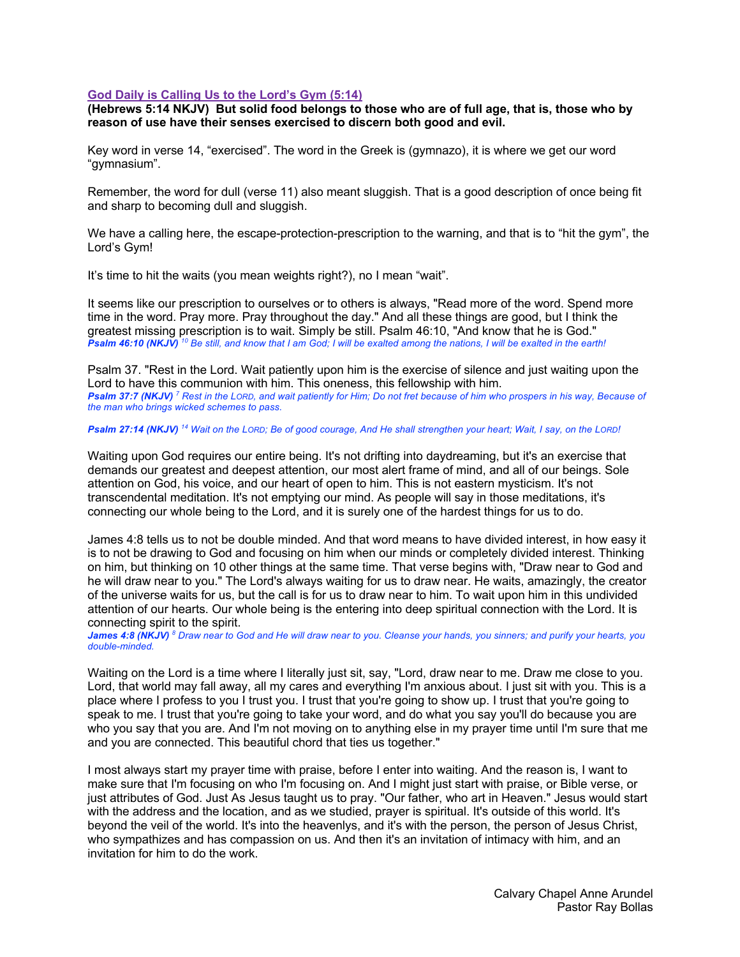### **God Daily is Calling Us to the Lord's Gym (5:14)**

**(Hebrews 5:14 NKJV) But solid food belongs to those who are of full age, that is, those who by reason of use have their senses exercised to discern both good and evil.**

Key word in verse 14, "exercised". The word in the Greek is (gymnazo), it is where we get our word "gymnasium".

Remember, the word for dull (verse 11) also meant sluggish. That is a good description of once being fit and sharp to becoming dull and sluggish.

We have a calling here, the escape-protection-prescription to the warning, and that is to "hit the gym", the Lord's Gym!

It's time to hit the waits (you mean weights right?), no I mean "wait".

It seems like our prescription to ourselves or to others is always, "Read more of the word. Spend more time in the word. Pray more. Pray throughout the day." And all these things are good, but I think the greatest missing prescription is to wait. Simply be still. Psalm 46:10, "And know that he is God." **Psalm 46:10 (NKJV)** <sup>10</sup> Be still, and know that I am God; I will be exalted among the nations, I will be exalted in the earth!

Psalm 37. "Rest in the Lord. Wait patiently upon him is the exercise of silence and just waiting upon the Lord to have this communion with him. This oneness, this fellowship with him. *Psalm 37:7 (NKJV)<sup>7</sup> Rest in the LORD, and wait patiently for Him; Do not fret because of him who prospers in his way, Because of the man who brings wicked schemes to pass.* 

#### *Psalm 27:14 (NKJV) <sup>14</sup> Wait on the LORD; Be of good courage, And He shall strengthen your heart; Wait, I say, on the LORD!*

Waiting upon God requires our entire being. It's not drifting into daydreaming, but it's an exercise that demands our greatest and deepest attention, our most alert frame of mind, and all of our beings. Sole attention on God, his voice, and our heart of open to him. This is not eastern mysticism. It's not transcendental meditation. It's not emptying our mind. As people will say in those meditations, it's connecting our whole being to the Lord, and it is surely one of the hardest things for us to do.

James 4:8 tells us to not be double minded. And that word means to have divided interest, in how easy it is to not be drawing to God and focusing on him when our minds or completely divided interest. Thinking on him, but thinking on 10 other things at the same time. That verse begins with, "Draw near to God and he will draw near to you." The Lord's always waiting for us to draw near. He waits, amazingly, the creator of the universe waits for us, but the call is for us to draw near to him. To wait upon him in this undivided attention of our hearts. Our whole being is the entering into deep spiritual connection with the Lord. It is connecting spirit to the spirit.

*James 4:8 (NKJV) <sup>8</sup> Draw near to God and He will draw near to you. Cleanse your hands, you sinners; and purify your hearts, you double-minded.* 

Waiting on the Lord is a time where I literally just sit, say, "Lord, draw near to me. Draw me close to you. Lord, that world may fall away, all my cares and everything I'm anxious about. I just sit with you. This is a place where I profess to you I trust you. I trust that you're going to show up. I trust that you're going to speak to me. I trust that you're going to take your word, and do what you say you'll do because you are who you say that you are. And I'm not moving on to anything else in my prayer time until I'm sure that me and you are connected. This beautiful chord that ties us together."

I most always start my prayer time with praise, before I enter into waiting. And the reason is, I want to make sure that I'm focusing on who I'm focusing on. And I might just start with praise, or Bible verse, or just attributes of God. Just As Jesus taught us to pray. "Our father, who art in Heaven." Jesus would start with the address and the location, and as we studied, prayer is spiritual. It's outside of this world. It's beyond the veil of the world. It's into the heavenlys, and it's with the person, the person of Jesus Christ, who sympathizes and has compassion on us. And then it's an invitation of intimacy with him, and an invitation for him to do the work.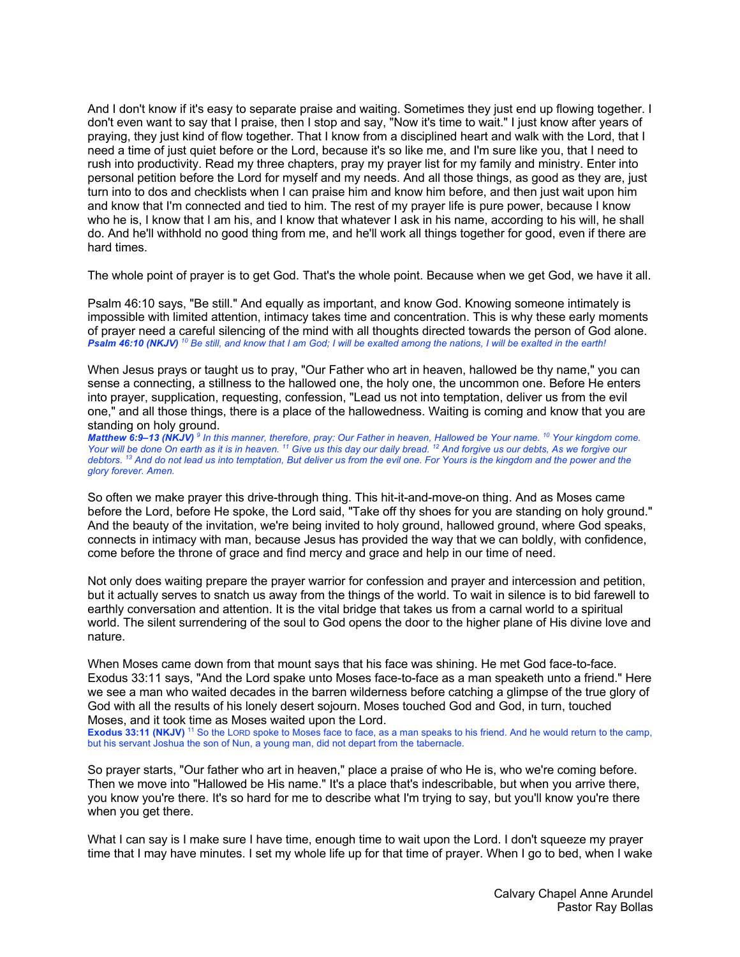And I don't know if it's easy to separate praise and waiting. Sometimes they just end up flowing together. I don't even want to say that I praise, then I stop and say, "Now it's time to wait." I just know after years of praying, they just kind of flow together. That I know from a disciplined heart and walk with the Lord, that I need a time of just quiet before or the Lord, because it's so like me, and I'm sure like you, that I need to rush into productivity. Read my three chapters, pray my prayer list for my family and ministry. Enter into personal petition before the Lord for myself and my needs. And all those things, as good as they are, just turn into to dos and checklists when I can praise him and know him before, and then just wait upon him and know that I'm connected and tied to him. The rest of my prayer life is pure power, because I know who he is, I know that I am his, and I know that whatever I ask in his name, according to his will, he shall do. And he'll withhold no good thing from me, and he'll work all things together for good, even if there are hard times.

The whole point of prayer is to get God. That's the whole point. Because when we get God, we have it all.

Psalm 46:10 says, "Be still." And equally as important, and know God. Knowing someone intimately is impossible with limited attention, intimacy takes time and concentration. This is why these early moments of prayer need a careful silencing of the mind with all thoughts directed towards the person of God alone. *Psalm 46:10 (NKJV) <sup>10</sup> Be still, and know that I am God; I will be exalted among the nations, I will be exalted in the earth!* 

When Jesus prays or taught us to pray, "Our Father who art in heaven, hallowed be thy name," you can sense a connecting, a stillness to the hallowed one, the holy one, the uncommon one. Before He enters into prayer, supplication, requesting, confession, "Lead us not into temptation, deliver us from the evil one," and all those things, there is a place of the hallowedness. Waiting is coming and know that you are standing on holy ground.

*Matthew 6:9–13 (NKJV) <sup>9</sup> In this manner, therefore, pray: Our Father in heaven, Hallowed be Your name. 10 Your kingdom come. Your will be done On earth as it is in heaven. 11 Give us this day our daily bread. 12 And forgive us our debts, As we forgive our debtors.* <sup>13</sup> And do not lead us into temptation, But deliver us from the evil one. For Yours is the kingdom and the power and the *glory forever. Amen.* 

So often we make prayer this drive-through thing. This hit-it-and-move-on thing. And as Moses came before the Lord, before He spoke, the Lord said, "Take off thy shoes for you are standing on holy ground." And the beauty of the invitation, we're being invited to holy ground, hallowed ground, where God speaks, connects in intimacy with man, because Jesus has provided the way that we can boldly, with confidence, come before the throne of grace and find mercy and grace and help in our time of need.

Not only does waiting prepare the prayer warrior for confession and prayer and intercession and petition, but it actually serves to snatch us away from the things of the world. To wait in silence is to bid farewell to earthly conversation and attention. It is the vital bridge that takes us from a carnal world to a spiritual world. The silent surrendering of the soul to God opens the door to the higher plane of His divine love and nature.

When Moses came down from that mount says that his face was shining. He met God face-to-face. Exodus 33:11 says, "And the Lord spake unto Moses face-to-face as a man speaketh unto a friend." Here we see a man who waited decades in the barren wilderness before catching a glimpse of the true glory of God with all the results of his lonely desert sojourn. Moses touched God and God, in turn, touched Moses, and it took time as Moses waited upon the Lord.

**Exodus 33:11 (NKJV)** <sup>11</sup> So the LORD spoke to Moses face to face, as a man speaks to his friend. And he would return to the camp, but his servant Joshua the son of Nun, a young man, did not depart from the tabernacle.

So prayer starts, "Our father who art in heaven," place a praise of who He is, who we're coming before. Then we move into "Hallowed be His name." It's a place that's indescribable, but when you arrive there, you know you're there. It's so hard for me to describe what I'm trying to say, but you'll know you're there when you get there.

What I can say is I make sure I have time, enough time to wait upon the Lord. I don't squeeze my prayer time that I may have minutes. I set my whole life up for that time of prayer. When I go to bed, when I wake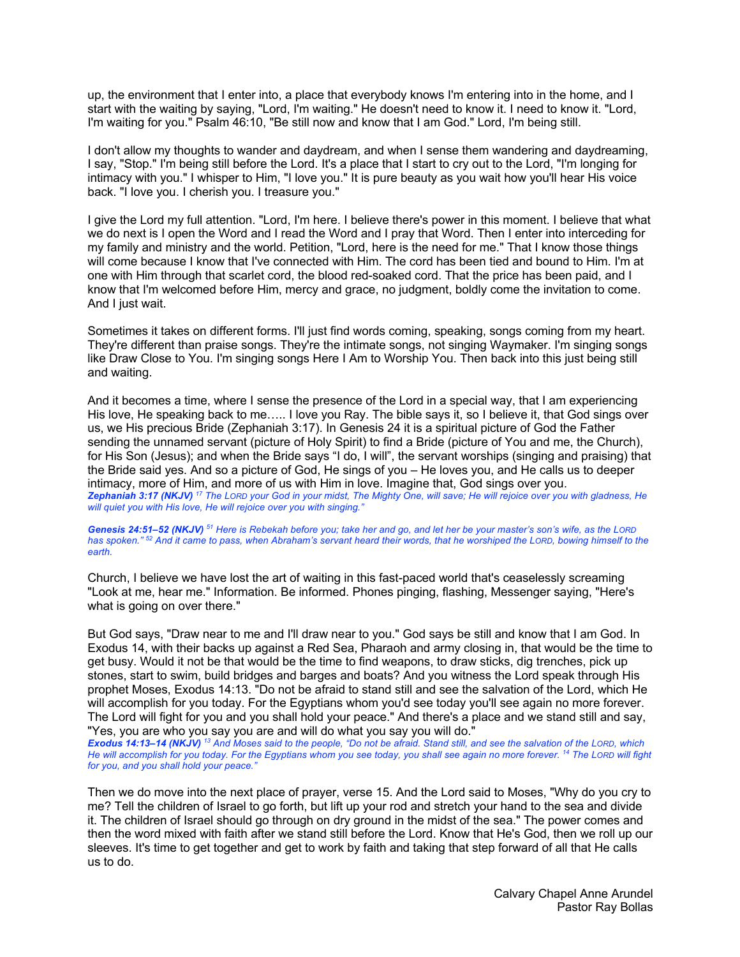up, the environment that I enter into, a place that everybody knows I'm entering into in the home, and I start with the waiting by saying, "Lord, I'm waiting." He doesn't need to know it. I need to know it. "Lord, I'm waiting for you." Psalm 46:10, "Be still now and know that I am God." Lord, I'm being still.

I don't allow my thoughts to wander and daydream, and when I sense them wandering and daydreaming, I say, "Stop." I'm being still before the Lord. It's a place that I start to cry out to the Lord, "I'm longing for intimacy with you." I whisper to Him, "I love you." It is pure beauty as you wait how you'll hear His voice back. "I love you. I cherish you. I treasure you."

I give the Lord my full attention. "Lord, I'm here. I believe there's power in this moment. I believe that what we do next is I open the Word and I read the Word and I pray that Word. Then I enter into interceding for my family and ministry and the world. Petition, "Lord, here is the need for me." That I know those things will come because I know that I've connected with Him. The cord has been tied and bound to Him. I'm at one with Him through that scarlet cord, the blood red-soaked cord. That the price has been paid, and I know that I'm welcomed before Him, mercy and grace, no judgment, boldly come the invitation to come. And I just wait.

Sometimes it takes on different forms. I'll just find words coming, speaking, songs coming from my heart. They're different than praise songs. They're the intimate songs, not singing Waymaker. I'm singing songs like Draw Close to You. I'm singing songs Here I Am to Worship You. Then back into this just being still and waiting.

And it becomes a time, where I sense the presence of the Lord in a special way, that I am experiencing His love, He speaking back to me….. I love you Ray. The bible says it, so I believe it, that God sings over us, we His precious Bride (Zephaniah 3:17). In Genesis 24 it is a spiritual picture of God the Father sending the unnamed servant (picture of Holy Spirit) to find a Bride (picture of You and me, the Church), for His Son (Jesus); and when the Bride says "I do, I will", the servant worships (singing and praising) that the Bride said yes. And so a picture of God, He sings of you – He loves you, and He calls us to deeper intimacy, more of Him, and more of us with Him in love. Imagine that, God sings over you. *Zephaniah 3:17 (NKJV) <sup>17</sup> The LORD your God in your midst, The Mighty One, will save; He will rejoice over you with gladness, He will quiet you with His love, He will rejoice over you with singing."* 

*Genesis 24:51–52 (NKJV) <sup>51</sup> Here is Rebekah before you; take her and go, and let her be your master's son's wife, as the LORD has spoken." 52 And it came to pass, when Abraham's servant heard their words, that he worshiped the LORD, bowing himself to the earth.* 

Church, I believe we have lost the art of waiting in this fast-paced world that's ceaselessly screaming "Look at me, hear me." Information. Be informed. Phones pinging, flashing, Messenger saying, "Here's what is going on over there."

But God says, "Draw near to me and I'll draw near to you." God says be still and know that I am God. In Exodus 14, with their backs up against a Red Sea, Pharaoh and army closing in, that would be the time to get busy. Would it not be that would be the time to find weapons, to draw sticks, dig trenches, pick up stones, start to swim, build bridges and barges and boats? And you witness the Lord speak through His prophet Moses, Exodus 14:13. "Do not be afraid to stand still and see the salvation of the Lord, which He will accomplish for you today. For the Egyptians whom you'd see today you'll see again no more forever. The Lord will fight for you and you shall hold your peace." And there's a place and we stand still and say, "Yes, you are who you say you are and will do what you say you will do."

*Exodus 14:13–14 (NKJV) <sup>13</sup> And Moses said to the people, "Do not be afraid. Stand still, and see the salvation of the LORD, which He will accomplish for you today. For the Egyptians whom you see today, you shall see again no more forever. 14 The LORD will fight for you, and you shall hold your peace."* 

Then we do move into the next place of prayer, verse 15. And the Lord said to Moses, "Why do you cry to me? Tell the children of Israel to go forth, but lift up your rod and stretch your hand to the sea and divide it. The children of Israel should go through on dry ground in the midst of the sea." The power comes and then the word mixed with faith after we stand still before the Lord. Know that He's God, then we roll up our sleeves. It's time to get together and get to work by faith and taking that step forward of all that He calls us to do.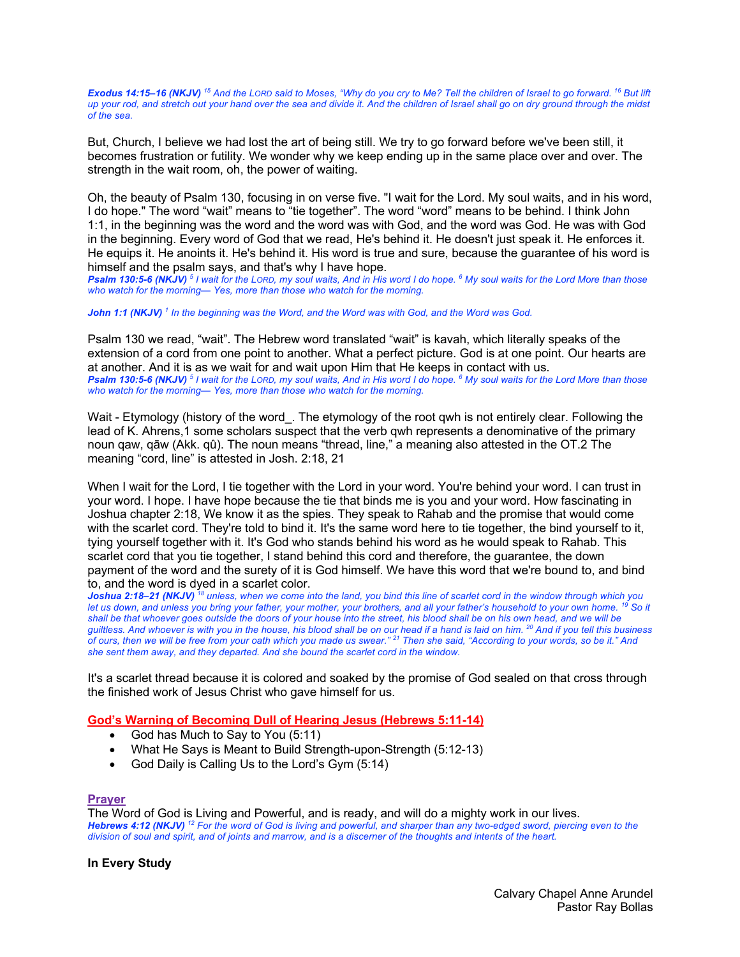*Exodus 14:15–16 (NKJV) <sup>15</sup> And the LORD said to Moses, "Why do you cry to Me? Tell the children of Israel to go forward. 16 But lift up your rod, and stretch out your hand over the sea and divide it. And the children of Israel shall go on dry ground through the midst of the sea.* 

But, Church, I believe we had lost the art of being still. We try to go forward before we've been still, it becomes frustration or futility. We wonder why we keep ending up in the same place over and over. The strength in the wait room, oh, the power of waiting.

Oh, the beauty of Psalm 130, focusing in on verse five. "I wait for the Lord. My soul waits, and in his word, I do hope." The word "wait" means to "tie together". The word "word" means to be behind. I think John 1:1, in the beginning was the word and the word was with God, and the word was God. He was with God in the beginning. Every word of God that we read, He's behind it. He doesn't just speak it. He enforces it. He equips it. He anoints it. He's behind it. His word is true and sure, because the guarantee of his word is himself and the psalm says, and that's why I have hope.

*Psalm 130:5-6 (NKJV) <sup>5</sup> I wait for the LORD, my soul waits, And in His word I do hope. 6 My soul waits for the Lord More than those who watch for the morning— Yes, more than those who watch for the morning.* 

*John 1:1 (NKJV) <sup>1</sup> In the beginning was the Word, and the Word was with God, and the Word was God.* 

Psalm 130 we read, "wait". The Hebrew word translated "wait" is kavah, which literally speaks of the extension of a cord from one point to another. What a perfect picture. God is at one point. Our hearts are at another. And it is as we wait for and wait upon Him that He keeps in contact with us. *Psalm 130:5-6 (NKJV) <sup>5</sup> I wait for the LORD, my soul waits, And in His word I do hope. 6 My soul waits for the Lord More than those who watch for the morning— Yes, more than those who watch for the morning.* 

Wait - Etymology (history of the word. The etymology of the root qwh is not entirely clear. Following the lead of K. Ahrens,1 some scholars suspect that the verb qwh represents a denominative of the primary noun qaw, qāw (Akk. qû). The noun means "thread, line," a meaning also attested in the OT.2 The meaning "cord, line" is attested in Josh. 2:18, 21

When I wait for the Lord, I tie together with the Lord in your word. You're behind your word. I can trust in your word. I hope. I have hope because the tie that binds me is you and your word. How fascinating in Joshua chapter 2:18, We know it as the spies. They speak to Rahab and the promise that would come with the scarlet cord. They're told to bind it. It's the same word here to tie together, the bind yourself to it, tying yourself together with it. It's God who stands behind his word as he would speak to Rahab. This scarlet cord that you tie together, I stand behind this cord and therefore, the guarantee, the down payment of the word and the surety of it is God himself. We have this word that we're bound to, and bind to, and the word is dyed in a scarlet color.

*Joshua 2:18–21 (NKJV) <sup>18</sup> unless, when we come into the land, you bind this line of scarlet cord in the window through which you let us down, and unless you bring your father, your mother, your brothers, and all your father's household to your own home. 19 So it shall be that whoever goes outside the doors of your house into the street, his blood shall be on his own head, and we will be guiltless. And whoever is with you in the house, his blood shall be on our head if a hand is laid on him. 20 And if you tell this business of ours, then we will be free from your oath which you made us swear." 21 Then she said, "According to your words, so be it." And she sent them away, and they departed. And she bound the scarlet cord in the window.* 

It's a scarlet thread because it is colored and soaked by the promise of God sealed on that cross through the finished work of Jesus Christ who gave himself for us.

# **God's Warning of Becoming Dull of Hearing Jesus (Hebrews 5:11-14)**

- God has Much to Say to You (5:11)
- What He Says is Meant to Build Strength-upon-Strength (5:12-13)
- God Daily is Calling Us to the Lord's Gym (5:14)

# **Prayer**

The Word of God is Living and Powerful, and is ready, and will do a mighty work in our lives. *Hebrews 4:12 (NKJV) <sup>12</sup> For the word of God is living and powerful, and sharper than any two-edged sword, piercing even to the division of soul and spirit, and of joints and marrow, and is a discerner of the thoughts and intents of the heart.* 

# **In Every Study**